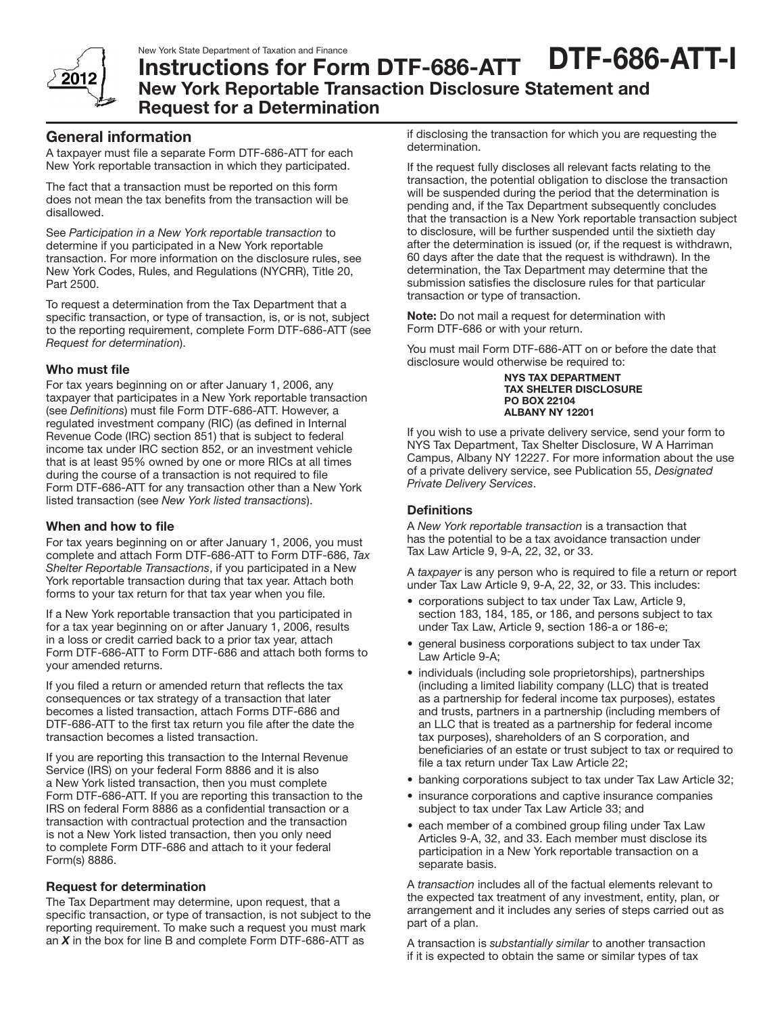

# Instructions for Form DTF-686-ATT New York Reportable Transaction Disclosure Statement and Request for a Determination DTF-686-ATT-I

## General information

A taxpayer must file a separate Form DTF-686-ATT for each New York reportable transaction in which they participated.

The fact that a transaction must be reported on this form does not mean the tax benefits from the transaction will be disallowed.

See *Participation in a New York reportable transaction* to determine if you participated in a New York reportable transaction. For more information on the disclosure rules, see New York Codes, Rules, and Regulations (NYCRR), Title 20, Part 2500.

To request a determination from the Tax Department that a specific transaction, or type of transaction, is, or is not, subject to the reporting requirement, complete Form DTF-686-ATT (see *Request for determination*).

## Who must file

For tax years beginning on or after January 1, 2006, any taxpayer that participates in a New York reportable transaction (see *Definitions*) must file Form DTF-686-ATT. However, a regulated investment company (RIC) (as defined in Internal Revenue Code (IRC) section 851) that is subject to federal income tax under IRC section 852, or an investment vehicle that is at least 95% owned by one or more RICs at all times during the course of a transaction is not required to file Form DTF-686-ATT for any transaction other than a New York listed transaction (see *New York listed transactions*).

### When and how to file

For tax years beginning on or after January 1, 2006, you must complete and attach Form DTF-686-ATT to Form DTF-686, *Tax Shelter Reportable Transactions*, if you participated in a New York reportable transaction during that tax year. Attach both forms to your tax return for that tax year when you file.

If a New York reportable transaction that you participated in for a tax year beginning on or after January 1, 2006, results in a loss or credit carried back to a prior tax year, attach Form DTF-686-ATT to Form DTF-686 and attach both forms to your amended returns.

If you filed a return or amended return that reflects the tax consequences or tax strategy of a transaction that later becomes a listed transaction, attach Forms DTF-686 and DTF-686-ATT to the first tax return you file after the date the transaction becomes a listed transaction.

If you are reporting this transaction to the Internal Revenue Service (IRS) on your federal Form 8886 and it is also a New York listed transaction, then you must complete Form DTF-686-ATT. If you are reporting this transaction to the IRS on federal Form 8886 as a confidential transaction or a transaction with contractual protection and the transaction is not a New York listed transaction, then you only need to complete Form DTF-686 and attach to it your federal Form(s) 8886.

### Request for determination

The Tax Department may determine, upon request, that a specific transaction, or type of transaction, is not subject to the reporting requirement. To make such a request you must mark an *X* in the box for line B and complete Form DTF-686-ATT as

if disclosing the transaction for which you are requesting the determination.

If the request fully discloses all relevant facts relating to the transaction, the potential obligation to disclose the transaction will be suspended during the period that the determination is pending and, if the Tax Department subsequently concludes that the transaction is a New York reportable transaction subject to disclosure, will be further suspended until the sixtieth day after the determination is issued (or, if the request is withdrawn, 60 days after the date that the request is withdrawn). In the determination, the Tax Department may determine that the submission satisfies the disclosure rules for that particular transaction or type of transaction.

Note: Do not mail a request for determination with Form DTF-686 or with your return.

You must mail Form DTF-686-ATT on or before the date that disclosure would otherwise be required to:

> NYS TAX DEPARTMENT TAX SHELTER DISCLOSURE PO BOX 22104 ALBANY NY 12201

If you wish to use a private delivery service, send your form to NYS Tax Department, Tax Shelter Disclosure, W A Harriman Campus, Albany NY 12227. For more information about the use of a private delivery service, see Publication 55, *Designated Private Delivery Services*.

### **Definitions**

A *New York reportable transaction* is a transaction that has the potential to be a tax avoidance transaction under Tax Law Article 9, 9-A, 22, 32, or 33.

A *taxpayer* is any person who is required to file a return or report under Tax Law Article 9, 9-A, 22, 32, or 33. This includes:

- corporations subject to tax under Tax Law, Article 9, section 183, 184, 185, or 186, and persons subject to tax under Tax Law, Article 9, section 186-a or 186-e;
- general business corporations subject to tax under Tax Law Article 9-A;
- individuals (including sole proprietorships), partnerships (including a limited liability company (LLC) that is treated as a partnership for federal income tax purposes), estates and trusts, partners in a partnership (including members of an LLC that is treated as a partnership for federal income tax purposes), shareholders of an S corporation, and beneficiaries of an estate or trust subject to tax or required to file a tax return under Tax Law Article 22;
- banking corporations subject to tax under Tax Law Article 32;
- insurance corporations and captive insurance companies subject to tax under Tax Law Article 33; and
- each member of a combined group filing under Tax Law Articles 9-A, 32, and 33. Each member must disclose its participation in a New York reportable transaction on a separate basis.

A *transaction* includes all of the factual elements relevant to the expected tax treatment of any investment, entity, plan, or arrangement and it includes any series of steps carried out as part of a plan.

A transaction is *substantially similar* to another transaction if it is expected to obtain the same or similar types of tax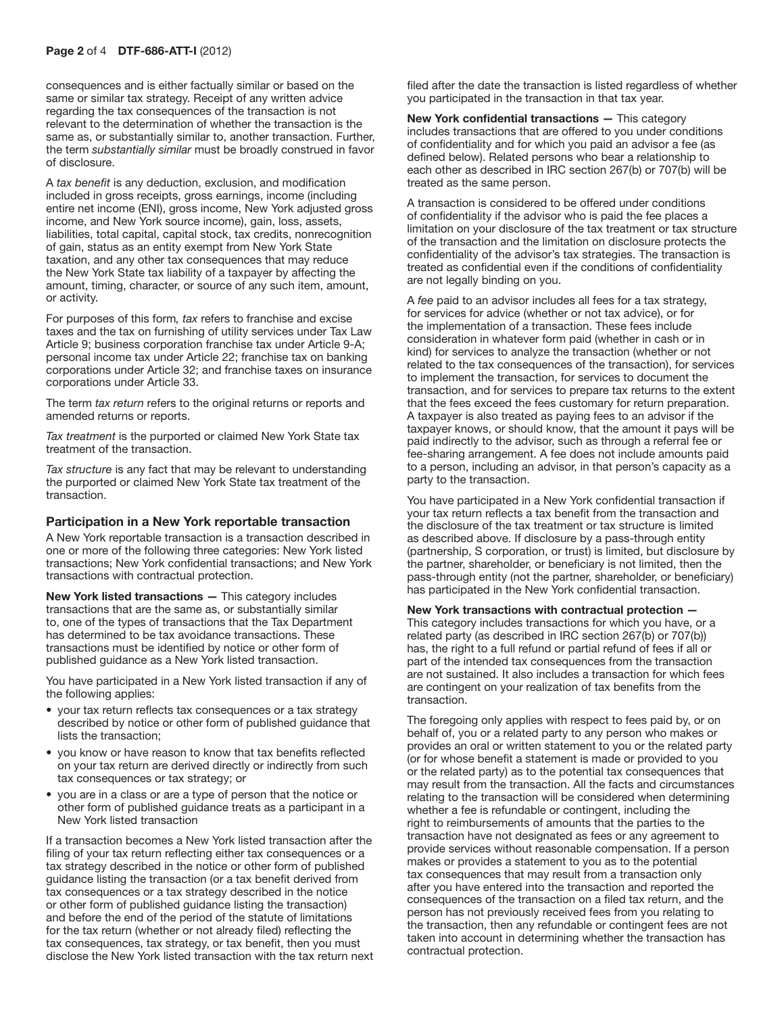consequences and is either factually similar or based on the same or similar tax strategy. Receipt of any written advice regarding the tax consequences of the transaction is not relevant to the determination of whether the transaction is the same as, or substantially similar to, another transaction. Further, the term *substantially similar* must be broadly construed in favor of disclosure.

A *tax benefit* is any deduction, exclusion, and modification included in gross receipts, gross earnings, income (including entire net income (ENI), gross income, New York adjusted gross income, and New York source income), gain, loss, assets, liabilities, total capital, capital stock, tax credits, nonrecognition of gain, status as an entity exempt from New York State taxation, and any other tax consequences that may reduce the New York State tax liability of a taxpayer by affecting the amount, timing, character, or source of any such item, amount, or activity.

For purposes of this form*, tax* refers to franchise and excise taxes and the tax on furnishing of utility services under Tax Law Article 9; business corporation franchise tax under Article 9-A; personal income tax under Article 22; franchise tax on banking corporations under Article 32; and franchise taxes on insurance corporations under Article 33.

The term *tax return* refers to the original returns or reports and amended returns or reports.

*Tax treatment* is the purported or claimed New York State tax treatment of the transaction.

*Tax structure* is any fact that may be relevant to understanding the purported or claimed New York State tax treatment of the transaction.

#### Participation in a New York reportable transaction

A New York reportable transaction is a transaction described in one or more of the following three categories: New York listed transactions; New York confidential transactions; and New York transactions with contractual protection.

New York listed transactions — This category includes transactions that are the same as, or substantially similar to, one of the types of transactions that the Tax Department has determined to be tax avoidance transactions. These transactions must be identified by notice or other form of published guidance as a New York listed transaction.

You have participated in a New York listed transaction if any of the following applies:

- your tax return reflects tax consequences or a tax strategy described by notice or other form of published guidance that lists the transaction;
- • you know or have reason to know that tax benefits reflected on your tax return are derived directly or indirectly from such tax consequences or tax strategy; or
- you are in a class or are a type of person that the notice or other form of published guidance treats as a participant in a New York listed transaction

If a transaction becomes a New York listed transaction after the filing of your tax return reflecting either tax consequences or a tax strategy described in the notice or other form of published guidance listing the transaction (or a tax benefit derived from tax consequences or a tax strategy described in the notice or other form of published guidance listing the transaction) and before the end of the period of the statute of limitations for the tax return (whether or not already filed) reflecting the tax consequences, tax strategy, or tax benefit, then you must disclose the New York listed transaction with the tax return next filed after the date the transaction is listed regardless of whether you participated in the transaction in that tax year.

New York confidential transactions — This category includes transactions that are offered to you under conditions of confidentiality and for which you paid an advisor a fee (as defined below). Related persons who bear a relationship to each other as described in IRC section 267(b) or 707(b) will be treated as the same person.

A transaction is considered to be offered under conditions of confidentiality if the advisor who is paid the fee places a limitation on your disclosure of the tax treatment or tax structure of the transaction and the limitation on disclosure protects the confidentiality of the advisor's tax strategies. The transaction is treated as confidential even if the conditions of confidentiality are not legally binding on you.

A *fee* paid to an advisor includes all fees for a tax strategy, for services for advice (whether or not tax advice), or for the implementation of a transaction. These fees include consideration in whatever form paid (whether in cash or in kind) for services to analyze the transaction (whether or not related to the tax consequences of the transaction), for services to implement the transaction, for services to document the transaction, and for services to prepare tax returns to the extent that the fees exceed the fees customary for return preparation. A taxpayer is also treated as paying fees to an advisor if the taxpayer knows, or should know, that the amount it pays will be paid indirectly to the advisor, such as through a referral fee or fee-sharing arrangement. A fee does not include amounts paid to a person, including an advisor, in that person's capacity as a party to the transaction.

You have participated in a New York confidential transaction if your tax return reflects a tax benefit from the transaction and the disclosure of the tax treatment or tax structure is limited as described above. If disclosure by a pass-through entity (partnership, S corporation, or trust) is limited, but disclosure by the partner, shareholder, or beneficiary is not limited, then the pass-through entity (not the partner, shareholder, or beneficiary) has participated in the New York confidential transaction.

New York transactions with contractual protection — This category includes transactions for which you have, or a related party (as described in IRC section 267(b) or 707(b)) has, the right to a full refund or partial refund of fees if all or part of the intended tax consequences from the transaction are not sustained. It also includes a transaction for which fees are contingent on your realization of tax benefits from the transaction.

The foregoing only applies with respect to fees paid by, or on behalf of, you or a related party to any person who makes or provides an oral or written statement to you or the related party (or for whose benefit a statement is made or provided to you or the related party) as to the potential tax consequences that may result from the transaction. All the facts and circumstances relating to the transaction will be considered when determining whether a fee is refundable or contingent, including the right to reimbursements of amounts that the parties to the transaction have not designated as fees or any agreement to provide services without reasonable compensation. If a person makes or provides a statement to you as to the potential tax consequences that may result from a transaction only after you have entered into the transaction and reported the consequences of the transaction on a filed tax return, and the person has not previously received fees from you relating to the transaction, then any refundable or contingent fees are not taken into account in determining whether the transaction has contractual protection.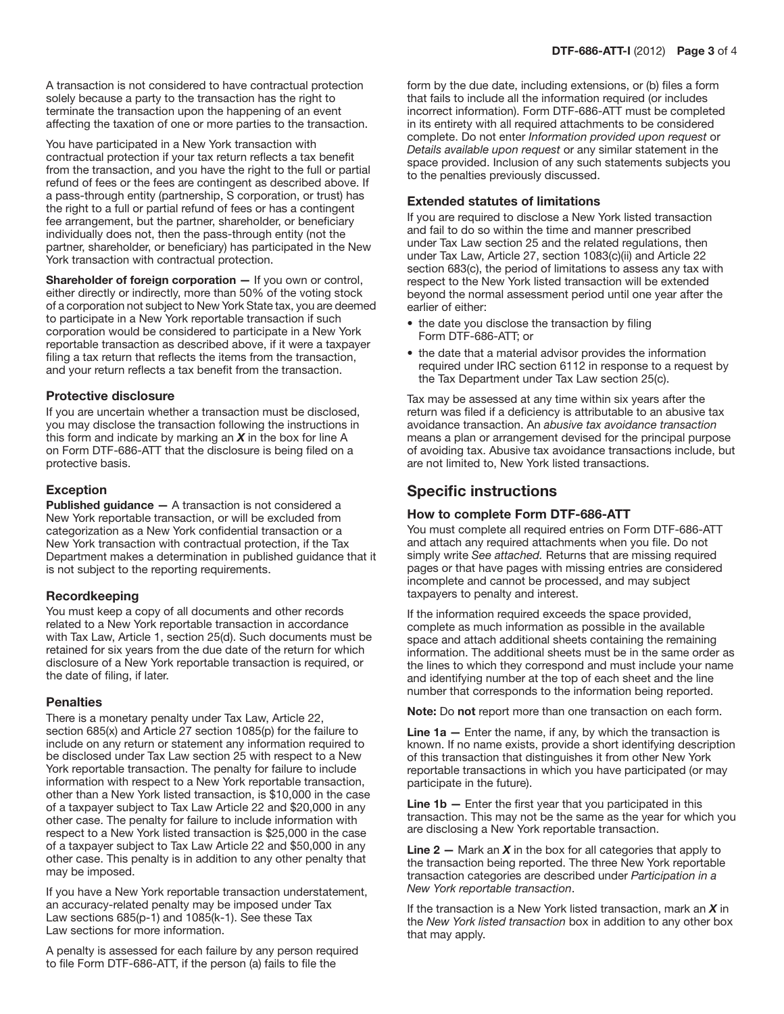A transaction is not considered to have contractual protection solely because a party to the transaction has the right to terminate the transaction upon the happening of an event affecting the taxation of one or more parties to the transaction.

You have participated in a New York transaction with contractual protection if your tax return reflects a tax benefit from the transaction, and you have the right to the full or partial refund of fees or the fees are contingent as described above. If a pass-through entity (partnership, S corporation, or trust) has the right to a full or partial refund of fees or has a contingent fee arrangement, but the partner, shareholder, or beneficiary individually does not, then the pass-through entity (not the partner, shareholder, or beneficiary) has participated in the New York transaction with contractual protection.

Shareholder of foreign corporation - If you own or control, either directly or indirectly, more than 50% of the voting stock of a corporation not subject to New York State tax, you are deemed to participate in a New York reportable transaction if such corporation would be considered to participate in a New York reportable transaction as described above, if it were a taxpayer filing a tax return that reflects the items from the transaction, and your return reflects a tax benefit from the transaction.

#### Protective disclosure

If you are uncertain whether a transaction must be disclosed, you may disclose the transaction following the instructions in this form and indicate by marking an *X* in the box for line A on Form DTF-686-ATT that the disclosure is being filed on a protective basis.

### Exception

Published guidance - A transaction is not considered a New York reportable transaction, or will be excluded from categorization as a New York confidential transaction or a New York transaction with contractual protection, if the Tax Department makes a determination in published guidance that it is not subject to the reporting requirements.

### Recordkeeping

You must keep a copy of all documents and other records related to a New York reportable transaction in accordance with Tax Law, Article 1, section 25(d). Such documents must be retained for six years from the due date of the return for which disclosure of a New York reportable transaction is required, or the date of filing, if later.

### **Penalties**

There is a monetary penalty under Tax Law, Article 22, section 685(x) and Article 27 section 1085(p) for the failure to include on any return or statement any information required to be disclosed under Tax Law section 25 with respect to a New York reportable transaction. The penalty for failure to include information with respect to a New York reportable transaction, other than a New York listed transaction, is \$10,000 in the case of a taxpayer subject to Tax Law Article 22 and \$20,000 in any other case. The penalty for failure to include information with respect to a New York listed transaction is \$25,000 in the case of a taxpayer subject to Tax Law Article 22 and \$50,000 in any other case. This penalty is in addition to any other penalty that may be imposed.

If you have a New York reportable transaction understatement, an accuracy-related penalty may be imposed under Tax Law sections 685(p-1) and 1085(k-1). See these Tax Law sections for more information.

A penalty is assessed for each failure by any person required to file Form DTF-686-ATT, if the person (a) fails to file the

form by the due date, including extensions, or (b) files a form that fails to include all the information required (or includes incorrect information). Form DTF-686-ATT must be completed in its entirety with all required attachments to be considered complete. Do not enter *Information provided upon request* or *Details available upon request* or any similar statement in the space provided. Inclusion of any such statements subjects you to the penalties previously discussed.

## Extended statutes of limitations

If you are required to disclose a New York listed transaction and fail to do so within the time and manner prescribed under Tax Law section 25 and the related regulations, then under Tax Law, Article 27, section 1083(c)(ii) and Article 22 section 683(c), the period of limitations to assess any tax with respect to the New York listed transaction will be extended beyond the normal assessment period until one year after the earlier of either:

- the date you disclose the transaction by filing Form DTF-686-ATT; or
- the date that a material advisor provides the information required under IRC section 6112 in response to a request by the Tax Department under Tax Law section 25(c).

Tax may be assessed at any time within six years after the return was filed if a deficiency is attributable to an abusive tax avoidance transaction. An *abusive tax avoidance transaction* means a plan or arrangement devised for the principal purpose of avoiding tax. Abusive tax avoidance transactions include, but are not limited to, New York listed transactions.

# Specific instructions

### How to complete Form DTF-686-ATT

You must complete all required entries on Form DTF-686-ATT and attach any required attachments when you file. Do not simply write *See attached.* Returns that are missing required pages or that have pages with missing entries are considered incomplete and cannot be processed, and may subject taxpayers to penalty and interest.

If the information required exceeds the space provided, complete as much information as possible in the available space and attach additional sheets containing the remaining information. The additional sheets must be in the same order as the lines to which they correspond and must include your name and identifying number at the top of each sheet and the line number that corresponds to the information being reported.

Note: Do not report more than one transaction on each form.

**Line 1a**  $-$  Enter the name, if any, by which the transaction is known. If no name exists, provide a short identifying description of this transaction that distinguishes it from other New York reportable transactions in which you have participated (or may participate in the future).

**Line 1b**  $-$  Enter the first year that you participated in this transaction. This may not be the same as the year for which you are disclosing a New York reportable transaction.

**Line 2** – Mark an  $X$  in the box for all categories that apply to the transaction being reported. The three New York reportable transaction categories are described under *Participation in a New York reportable transaction*.

If the transaction is a New York listed transaction, mark an *X* in the *New York listed transaction* box in addition to any other box that may apply.